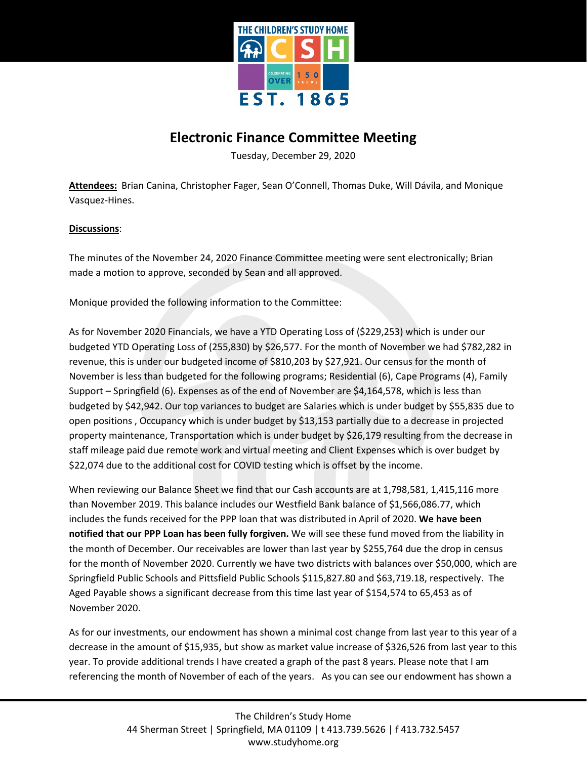

## **Electronic Finance Committee Meeting**

Tuesday, December 29, 2020

**Attendees:** Brian Canina, Christopher Fager, Sean O'Connell, Thomas Duke, Will Dávila, and Monique Vasquez-Hines.

## **Discussions**:

The minutes of the November 24, 2020 Finance Committee meeting were sent electronically; Brian made a motion to approve, seconded by Sean and all approved.

Monique provided the following information to the Committee:

As for November 2020 Financials, we have a YTD Operating Loss of (\$229,253) which is under our budgeted YTD Operating Loss of (255,830) by \$26,577. For the month of November we had \$782,282 in revenue, this is under our budgeted income of \$810,203 by \$27,921. Our census for the month of November is less than budgeted for the following programs; Residential (6), Cape Programs (4), Family Support – Springfield (6). Expenses as of the end of November are \$4,164,578, which is less than budgeted by \$42,942. Our top variances to budget are Salaries which is under budget by \$55,835 due to open positions , Occupancy which is under budget by \$13,153 partially due to a decrease in projected property maintenance, Transportation which is under budget by \$26,179 resulting from the decrease in staff mileage paid due remote work and virtual meeting and Client Expenses which is over budget by \$22,074 due to the additional cost for COVID testing which is offset by the income.

When reviewing our Balance Sheet we find that our Cash accounts are at 1,798,581, 1,415,116 more than November 2019. This balance includes our Westfield Bank balance of \$1,566,086.77, which includes the funds received for the PPP loan that was distributed in April of 2020. **We have been notified that our PPP Loan has been fully forgiven.** We will see these fund moved from the liability in the month of December. Our receivables are lower than last year by \$255,764 due the drop in census for the month of November 2020. Currently we have two districts with balances over \$50,000, which are Springfield Public Schools and Pittsfield Public Schools \$115,827.80 and \$63,719.18, respectively. The Aged Payable shows a significant decrease from this time last year of \$154,574 to 65,453 as of November 2020.

As for our investments, our endowment has shown a minimal cost change from last year to this year of a decrease in the amount of \$15,935, but show as market value increase of \$326,526 from last year to this year. To provide additional trends I have created a graph of the past 8 years. Please note that I am referencing the month of November of each of the years. As you can see our endowment has shown a